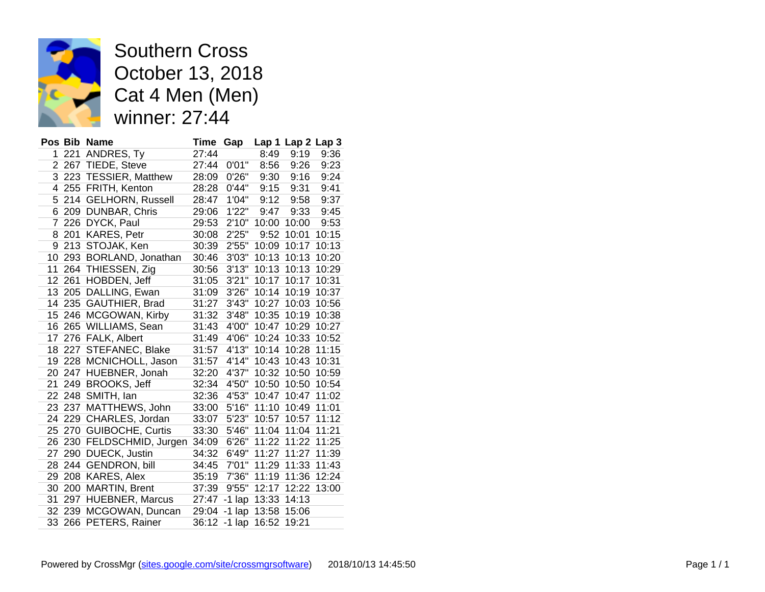

Southern Cross October 13, 2018 Cat 4 Men (Men) winner: 27:44

|    |        | Pos Bib Name            | Time  | Gap          |       | Lap 1 Lap 2 Lap 3 |       |
|----|--------|-------------------------|-------|--------------|-------|-------------------|-------|
| 1  | 221    | ANDRES, Ty              | 27:44 |              | 8:49  | 9:19              | 9:36  |
| 2  |        | 267 TIEDE, Steve        | 27:44 | 0'01"        | 8:56  | 9:26              | 9:23  |
| 3  |        | 223 TESSIER, Matthew    | 28:09 | 0'26"        | 9:30  | 9:16              | 9:24  |
| 4  | 255    | FRITH, Kenton           | 28:28 | 0'44"        | 9:15  | 9:31              | 9:41  |
| 5  | 214    | <b>GELHORN, Russell</b> | 28:47 | 1'04"        | 9:12  | 9:58              | 9:37  |
| 6  | 209    | DUNBAR, Chris           | 29:06 | 1'22"        | 9:47  | 9:33              | 9:45  |
| 7  | 226    | DYCK, Paul              | 29:53 | 2'10"        | 10:00 | 10:00             | 9:53  |
| 8  | 201    | KARES, Petr             | 30:08 | 2'25"        | 9:52  | 10:01             | 10:15 |
| 9  | 213    | STOJAK, Ken             | 30:39 | 2'55"        | 10:09 | 10:17             | 10:13 |
| 10 | 293    | BORLAND, Jonathan       | 30:46 | 3'03"        | 10:13 | 10:13             | 10:20 |
| 11 |        | 264 THIESSEN, Zig       | 30:56 | 3'13"        | 10:13 | 10:13             | 10:29 |
| 12 | 261    | HOBDEN, Jeff            | 31:05 | 3'21"        | 10:17 | 10:17             | 10:31 |
| 13 | 205    | DALLING, Ewan           | 31:09 | 3'26"        | 10:14 | 10:19             | 10:37 |
| 14 | 235    | GAUTHIER, Brad          | 31:27 | 3'43"        | 10:27 | 10:03             | 10:56 |
| 15 | 246    | MCGOWAN, Kirby          | 31:32 | 3'48"        | 10:35 | 10:19             | 10:38 |
| 16 | 265    | WILLIAMS, Sean          | 31:43 | 4'00"        | 10:47 | 10:29             | 10:27 |
| 17 | 276    | FALK, Albert            | 31:49 | 4'06"        | 10:24 | 10:33             | 10:52 |
| 18 | 227    | STEFANEC, Blake         | 31:57 | 4'13"        | 10:14 | 10:28             | 11:15 |
| 19 |        | 228 MCNICHOLL, Jason    | 31:57 | 4'14"        | 10:43 | 10:43             | 10:31 |
| 20 | 247    | HUEBNER, Jonah          | 32:20 | 4'37"        | 10:32 | 10:50             | 10:59 |
| 21 | 249    | <b>BROOKS, Jeff</b>     | 32:34 | 4'50"        | 10:50 | 10:50             | 10:54 |
| 22 | 248    | SMITH, Ian              | 32:36 | 4'53"        | 10:47 | 10:47             | 11:02 |
| 23 | 237    | MATTHEWS, John          | 33:00 | 5'16"        | 11:10 | 10:49             | 11:01 |
| 24 |        | 229 CHARLES, Jordan     | 33:07 | 5'23"        | 10:57 | 10:57             | 11:12 |
| 25 | 270    | <b>GUIBOCHE, Curtis</b> | 33:30 | 5'46"        | 11:04 | 11:04             | 11:21 |
| 26 | 230    | FELDSCHMID, Jurgen      | 34:09 | 6'26"        | 11:22 | 11:22             | 11:25 |
| 27 | 290    | <b>DUECK, Justin</b>    | 34:32 | 6'49"        | 11:27 | 11:27             | 11:39 |
| 28 | 244    | <b>GENDRON, bill</b>    | 34:45 | 7'01"        | 11:29 | 11:33             | 11:43 |
| 29 | 208    | <b>KARES, Alex</b>      | 35:19 | 7'36"        | 11:19 | 11:36             | 12:24 |
| 30 | 200    | <b>MARTIN, Brent</b>    | 37:39 | 9'55"        | 12:17 | 12:22             | 13:00 |
| 31 | 297    | <b>HUEBNER, Marcus</b>  | 27:47 | $-1$ lap     | 13:33 | 14:13             |       |
| 32 | 239    | MCGOWAN, Duncan         | 29:04 | $-1$ lap     | 13:58 | 15:06             |       |
|    | 33 266 | PETERS, Rainer          |       | 36:12 -1 lap | 16:52 | 19:21             |       |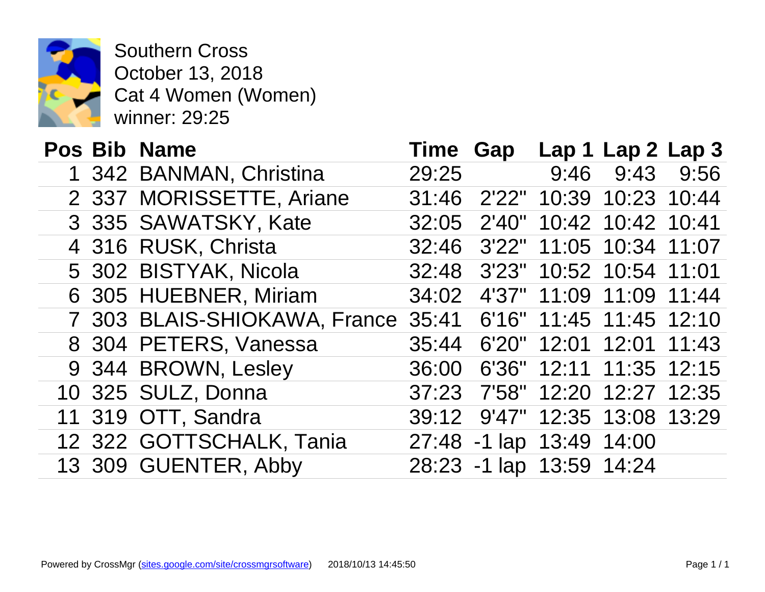

Southern Cross October 13, 2018 Cat 4 Women (Women) winner: 29:25

| <b>Pos Bib Name</b> |                              | <b>Time Gap</b> |                    | Lap <sub>1</sub> |
|---------------------|------------------------------|-----------------|--------------------|------------------|
|                     | 1 342 BANMAN, Christina      | 29:25           |                    | 9:46             |
|                     | 2 337 MORISSETTE, Ariane     |                 | 31:46 2'22" 10:39  |                  |
|                     | 3 335 SAWATSKY, Kate         | 32:05           |                    | 2'40" 10:42      |
|                     | 4 316 RUSK, Christa          |                 | 32:46 3'22" 11:05  |                  |
|                     | 5 302 BISTYAK, Nicola        | 32:48           | 3'23" 10:52        |                  |
|                     | 6 305 HUEBNER, Miriam        | 34:02           |                    | 4'37" 11:09      |
|                     | 7 303 BLAIS-SHIOKAWA, France |                 | 35:41 6'16" 11:45  |                  |
|                     | 8 304 PETERS, Vanessa        |                 | 35:44 6'20" 12:01  |                  |
|                     | 9 344 BROWN, Lesley          | 36:00           |                    | 6'36" 12:11      |
|                     | 10 325 SULZ, Donna           | 37:23           |                    | 7'58" 12:20      |
|                     | 11 319 OTT, Sandra           | 39:12           | 9'47" 12:35        |                  |
|                     | 12 322 GOTTSCHALK, Tania     |                 | 27:48 -1 lap 13:49 |                  |
|                     | 13 309 GUENTER, Abby         |                 | 28:23 -1 lap 13:59 |                  |